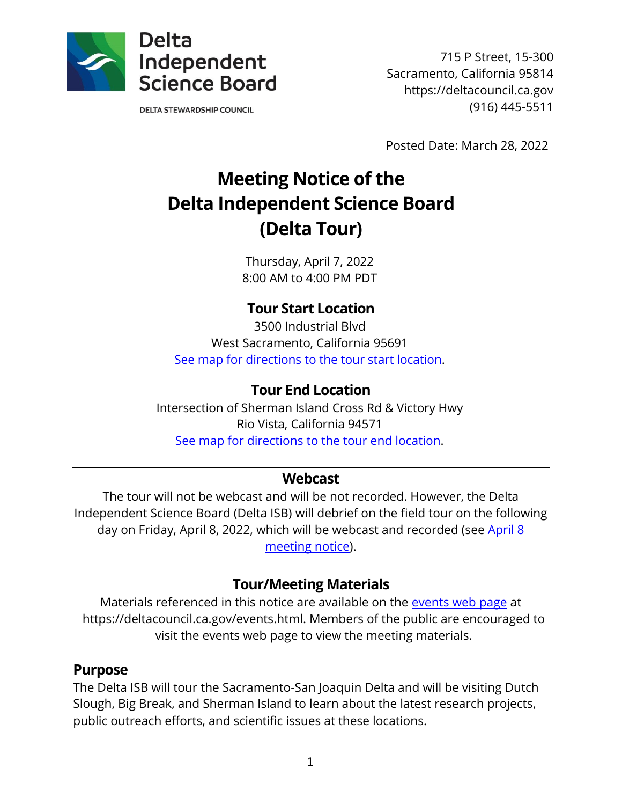

**DELTA STEWARDSHIP COUNCIL** 

715 P Street, 15-300 Sacramento, California 95814 https://deltacouncil.ca.gov (916) 445-5511

Posted Date: March 28, 2022

# **Meeting Notice of the Delta Independent Science Board (Delta Tour)**

Thursday, April 7, 2022 8:00 AM to 4:00 PM PDT

# **Tour Start Location**

3500 Industrial Blvd West Sacramento, California 95691 [See map for directions to the tour start location.](https://www.google.com/maps/place/3500+Industrial+Blvd,+West+Sacramento,+CA+95691/@38.5742424,-121.5650556,17z/data=!3m1!4b1!4m5!3m4!1s0x809ad46d84b97d61:0x98c48d4beff2b835!8m2!3d38.5742424!4d-121.5628669)

### **Tour End Location**

Intersection of Sherman Island Cross Rd & Victory Hwy Rio Vista, California 94571 [See map for directions to the tour end location.](https://www.google.com/maps/place/Sherman+Island+Cross+Rd+%26+Victory+Hwy,+California+94571/@38.0537319,-121.7402707,17z/data=!3m1!4b1!4m5!3m4!1s0x808556b4ed2c50c3:0xc17ca6e776fc9701!8m2!3d38.0537319!4d-121.738082)

#### **Webcast**

The tour will not be webcast and will be not recorded. However, the Delta Independent Science Board (Delta ISB) will debrief on the field tour on the following day on Friday, April 8, 2022, which will be webcast and recorded (see April 8 [meeting notice\)](https://deltacouncil.ca.gov/pdf/isb/meeting-notice/2022-03-28-isb-meeting-notice.pdf).

#### **Tour/Meeting Materials**

Materials referenced in this notice are available on the [events web page](https://deltacouncil.ca.gov/events.html) at https://deltacouncil.ca.gov/events.html. Members of the public are encouraged to visit the events web page to view the meeting materials.

#### **Purpose**

The Delta ISB will tour the Sacramento-San Joaquin Delta and will be visiting Dutch Slough, Big Break, and Sherman Island to learn about the latest research projects, public outreach efforts, and scientific issues at these locations.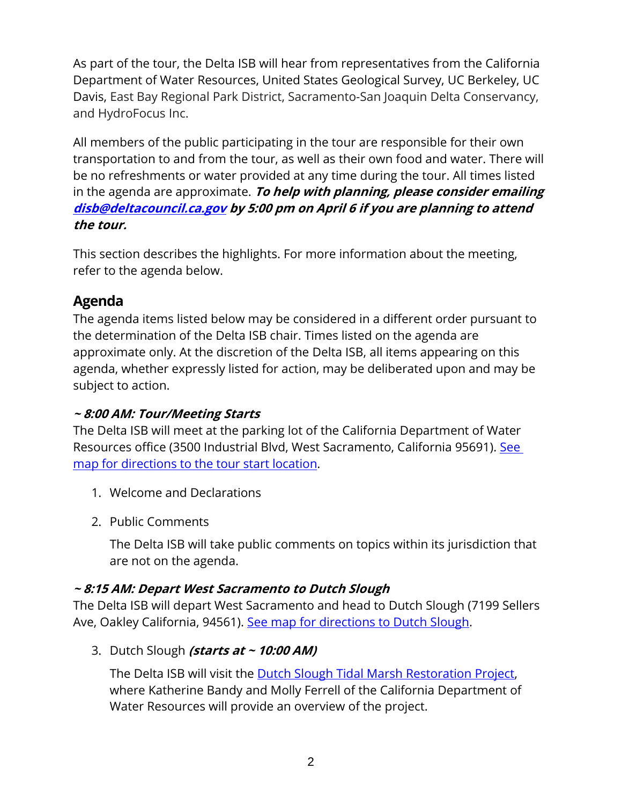As part of the tour, the Delta ISB will hear from representatives from the California Department of Water Resources, United States Geological Survey, UC Berkeley, UC Davis, East Bay Regional Park District, Sacramento-San Joaquin Delta Conservancy, and HydroFocus Inc.

All members of the public participating in the tour are responsible for their own transportation to and from the tour, as well as their own food and water. There will be no refreshments or water provided at any time during the tour. All times listed in the agenda are approximate. **To help with planning, please consider emailing [disb@deltacouncil.ca.gov](mailto:disb@deltacouncil.ca.gov) by 5:00 pm on April 6 if you are planning to attend the tour.** 

This section describes the highlights. For more information about the meeting, refer to the agenda below.

# **Agenda**

The agenda items listed below may be considered in a different order pursuant to the determination of the Delta ISB chair. Times listed on the agenda are approximate only. At the discretion of the Delta ISB, all items appearing on this agenda, whether expressly listed for action, may be deliberated upon and may be subject to action.

#### **~ 8:00 AM: Tour/Meeting Starts**

The Delta ISB will meet at the parking lot of the California Department of Water Resources office (3500 Industrial Blvd, West Sacramento, California 95691). [See](https://www.google.com/maps/place/3500+Industrial+Blvd,+West+Sacramento,+CA+95691/@38.5742424,-121.5650556,17z/data=!3m1!4b1!4m5!3m4!1s0x809ad46d84b97d61:0x98c48d4beff2b835!8m2!3d38.5742424!4d-121.5628669)  [map for directions to the tour start location.](https://www.google.com/maps/place/3500+Industrial+Blvd,+West+Sacramento,+CA+95691/@38.5742424,-121.5650556,17z/data=!3m1!4b1!4m5!3m4!1s0x809ad46d84b97d61:0x98c48d4beff2b835!8m2!3d38.5742424!4d-121.5628669)

- 1. Welcome and Declarations
- 2. Public Comments

The Delta ISB will take public comments on topics within its jurisdiction that are not on the agenda.

#### **~ 8:15 AM: Depart West Sacramento to Dutch Slough**

The Delta ISB will depart West Sacramento and head to Dutch Slough (7199 Sellers Ave, Oakley California, 94561). [See map for directions to Dutch Slough.](https://www.google.com/maps/place/7199+Sellers+Ave,+Oakley,+CA+94561/@37.9977435,-121.6796786,17z/data=!3m1!4b1!4m5!3m4!1s0x808555808558c9db:0xc68bce3123a584e7!8m2!3d37.9977435!4d-121.6774899?authuser=0)

3. Dutch Slough **(starts at ~ 10:00 AM)**

The Delta ISB will visit the [Dutch Slough Tidal Marsh Restoration Project,](https://water.ca.gov/Programs/Integrated-Regional-Water-Management/Delta-Ecosystem-Enhancement-Program/Dutch-Slough-Tidal-Restoration-Project) where Katherine Bandy and Molly Ferrell of the California Department of Water Resources will provide an overview of the project.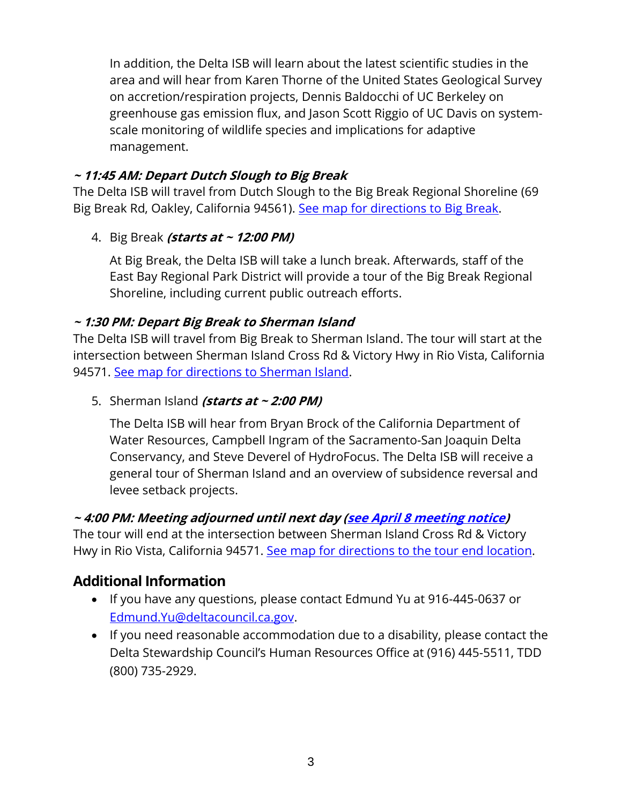In addition, the Delta ISB will learn about the latest scientific studies in the area and will hear from Karen Thorne of the United States Geological Survey on accretion/respiration projects, Dennis Baldocchi of UC Berkeley on greenhouse gas emission flux, and Jason Scott Riggio of UC Davis on systemscale monitoring of wildlife species and implications for adaptive management.

#### **~ 11:45 AM: Depart Dutch Slough to Big Break**

The Delta ISB will travel from Dutch Slough to the Big Break Regional Shoreline (69 Big Break Rd, Oakley, California 94561). [See map for directions to Big Break.](https://www.google.com/maps/place/69+Big+Break+Rd,+Oakley,+CA+94561/@38.0098722,-121.7313856,17z/data=!3m1!4b1!4m5!3m4!1s0x8085567072216a5d:0xe0bc76e253cad1e4!8m2!3d38.0098722!4d-121.7291969?authuser=0)

#### 4. Big Break **(starts at ~ 12:00 PM)**

At Big Break, the Delta ISB will take a lunch break. Afterwards, staff of the East Bay Regional Park District will provide a tour of the Big Break Regional Shoreline, including current public outreach efforts.

#### **~ 1:30 PM: Depart Big Break to Sherman Island**

The Delta ISB will travel from Big Break to Sherman Island. The tour will start at the intersection between Sherman Island Cross Rd & Victory Hwy in Rio Vista, California 94571. [See map for directions to Sherman Island.](https://www.google.com/maps/place/Sherman+Island+Cross+Rd+%26+Victory+Hwy,+California+94571/@38.0537319,-121.7402707,17z/data=!3m1!4b1!4m5!3m4!1s0x808556b4ed2c50c3:0xc17ca6e776fc9701!8m2!3d38.0537319!4d-121.738082)

#### 5. Sherman Island **(starts at ~ 2:00 PM)**

The Delta ISB will hear from Bryan Brock of the California Department of Water Resources, Campbell Ingram of the Sacramento-San Joaquin Delta Conservancy, and Steve Deverel of HydroFocus. The Delta ISB will receive a general tour of Sherman Island and an overview of subsidence reversal and levee setback projects.

#### **~ 4:00 PM: Meeting adjourned until next day [\(see April 8 meeting notice\)](https://deltacouncil.ca.gov/pdf/isb/meeting-notice/2022-03-28-isb-meeting-notice.pdf)**

The tour will end at the intersection between Sherman Island Cross Rd & Victory Hwy in Rio Vista, California 94571. [See map for directions to the tour end location.](https://www.google.com/maps/place/Sherman+Island+Cross+Rd+%26+Victory+Hwy,+California+94571/@38.0537319,-121.7402707,17z/data=!3m1!4b1!4m5!3m4!1s0x808556b4ed2c50c3:0xc17ca6e776fc9701!8m2!3d38.0537319!4d-121.738082)

# **Additional Information**

- If you have any questions, please contact Edmund Yu at 916-445-0637 or [Edmund.Yu@deltacouncil.ca.gov.](mailto:Edmund.Yu@deltacouncil.ca.gov)
- If you need reasonable accommodation due to a disability, please contact the Delta Stewardship Council's Human Resources Office at (916) 445-5511, TDD (800) 735-2929.